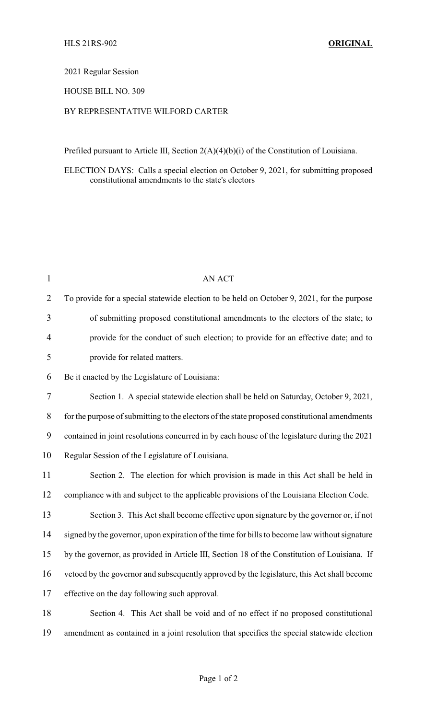2021 Regular Session

HOUSE BILL NO. 309

## BY REPRESENTATIVE WILFORD CARTER

Prefiled pursuant to Article III, Section 2(A)(4)(b)(i) of the Constitution of Louisiana.

ELECTION DAYS: Calls a special election on October 9, 2021, for submitting proposed constitutional amendments to the state's electors

| $\mathbf{1}$   | <b>AN ACT</b>                                                                                 |
|----------------|-----------------------------------------------------------------------------------------------|
| $\overline{2}$ | To provide for a special statewide election to be held on October 9, 2021, for the purpose    |
| 3              | of submitting proposed constitutional amendments to the electors of the state; to             |
| 4              | provide for the conduct of such election; to provide for an effective date; and to            |
| 5              | provide for related matters.                                                                  |
| 6              | Be it enacted by the Legislature of Louisiana:                                                |
| $\tau$         | Section 1. A special statewide election shall be held on Saturday, October 9, 2021,           |
| $8\,$          | for the purpose of submitting to the electors of the state proposed constitutional amendments |
| 9              | contained in joint resolutions concurred in by each house of the legislature during the 2021  |
| 10             | Regular Session of the Legislature of Louisiana.                                              |
| 11             | Section 2. The election for which provision is made in this Act shall be held in              |
| 12             | compliance with and subject to the applicable provisions of the Louisiana Election Code.      |
| 13             | Section 3. This Act shall become effective upon signature by the governor or, if not          |
| 14             | signed by the governor, upon expiration of the time for bills to become law without signature |
| 15             | by the governor, as provided in Article III, Section 18 of the Constitution of Louisiana. If  |
| 16             | vetoed by the governor and subsequently approved by the legislature, this Act shall become    |
| 17             | effective on the day following such approval.                                                 |
| 18             | Section 4. This Act shall be void and of no effect if no proposed constitutional              |
| 19             | amendment as contained in a joint resolution that specifies the special statewide election    |